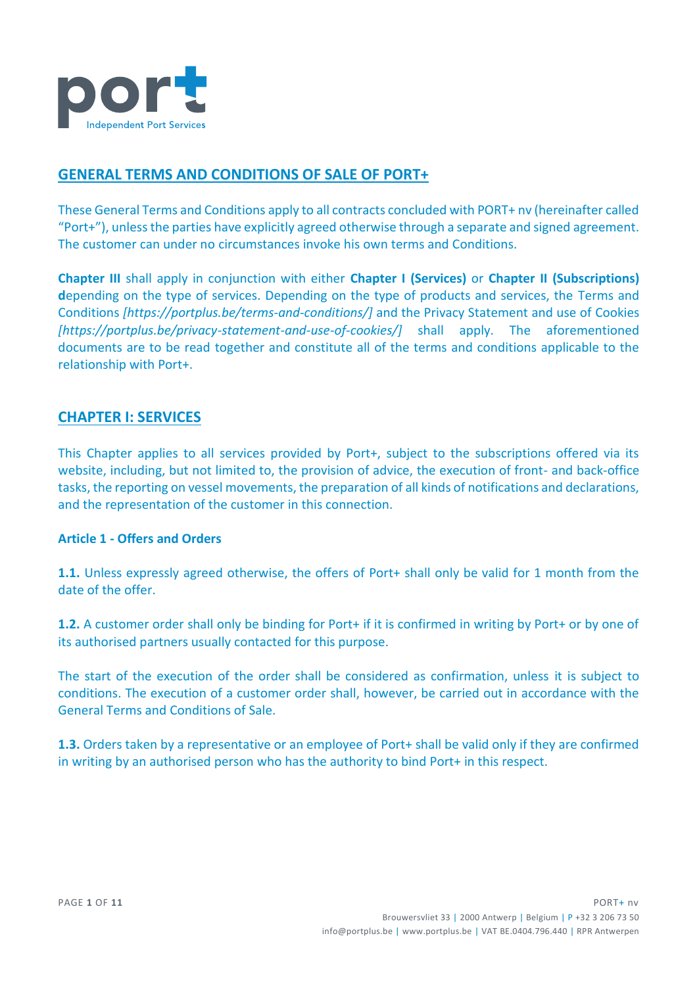

# **GENERAL TERMS AND CONDITIONS OF SALE OF PORT+**

These General Terms and Conditions apply to all contracts concluded with PORT+ nv (hereinafter called "Port+"), unless the parties have explicitly agreed otherwise through a separate and signed agreement. The customer can under no circumstances invoke his own terms and Conditions.

**Chapter III** shall apply in conjunction with either **Chapter I (Services)** or **Chapter II (Subscriptions) d**epending on the type of services. Depending on the type of products and services, the Terms and Conditions *[https://portplus.be/terms-and-conditions/]* and the Privacy Statement and use of Cookies *[https://portplus.be/privacy-statement-and-use-of-cookies/]* shall apply. The aforementioned documents are to be read together and constitute all of the terms and conditions applicable to the relationship with Port+.

# **CHAPTER I: SERVICES**

This Chapter applies to all services provided by Port+, subject to the subscriptions offered via its website, including, but not limited to, the provision of advice, the execution of front- and back-office tasks, the reporting on vessel movements, the preparation of all kinds of notifications and declarations, and the representation of the customer in this connection.

## **Article 1 - Offers and Orders**

**1.1.** Unless expressly agreed otherwise, the offers of Port+ shall only be valid for 1 month from the date of the offer.

**1.2.** A customer order shall only be binding for Port+ if it is confirmed in writing by Port+ or by one of its authorised partners usually contacted for this purpose.

The start of the execution of the order shall be considered as confirmation, unless it is subject to conditions. The execution of a customer order shall, however, be carried out in accordance with the General Terms and Conditions of Sale.

**1.3.** Orders taken by a representative or an employee of Port+ shall be valid only if they are confirmed in writing by an authorised person who has the authority to bind Port+ in this respect.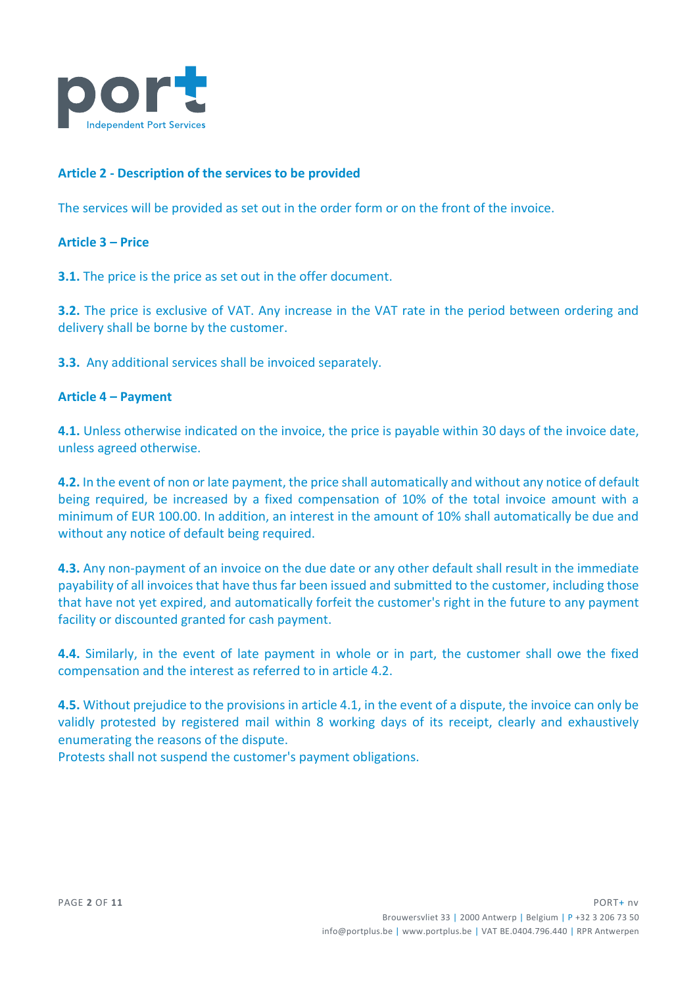

# **Article 2 - Description of the services to be provided**

The services will be provided as set out in the order form or on the front of the invoice.

#### **Article 3 – Price**

**3.1.** The price is the price as set out in the offer document.

**3.2.** The price is exclusive of VAT. Any increase in the VAT rate in the period between ordering and delivery shall be borne by the customer.

**3.3.** Any additional services shall be invoiced separately.

#### **Article 4 – Payment**

**4.1.** Unless otherwise indicated on the invoice, the price is payable within 30 days of the invoice date, unless agreed otherwise.

**4.2.** In the event of non or late payment, the price shall automatically and without any notice of default being required, be increased by a fixed compensation of 10% of the total invoice amount with a minimum of EUR 100.00. In addition, an interest in the amount of 10% shall automatically be due and without any notice of default being required.

**4.3.** Any non-payment of an invoice on the due date or any other default shall result in the immediate payability of all invoices that have thus far been issued and submitted to the customer, including those that have not yet expired, and automatically forfeit the customer's right in the future to any payment facility or discounted granted for cash payment.

**4.4.** Similarly, in the event of late payment in whole or in part, the customer shall owe the fixed compensation and the interest as referred to in article 4.2.

**4.5.** Without prejudice to the provisions in article 4.1, in the event of a dispute, the invoice can only be validly protested by registered mail within 8 working days of its receipt, clearly and exhaustively enumerating the reasons of the dispute.

Protests shall not suspend the customer's payment obligations.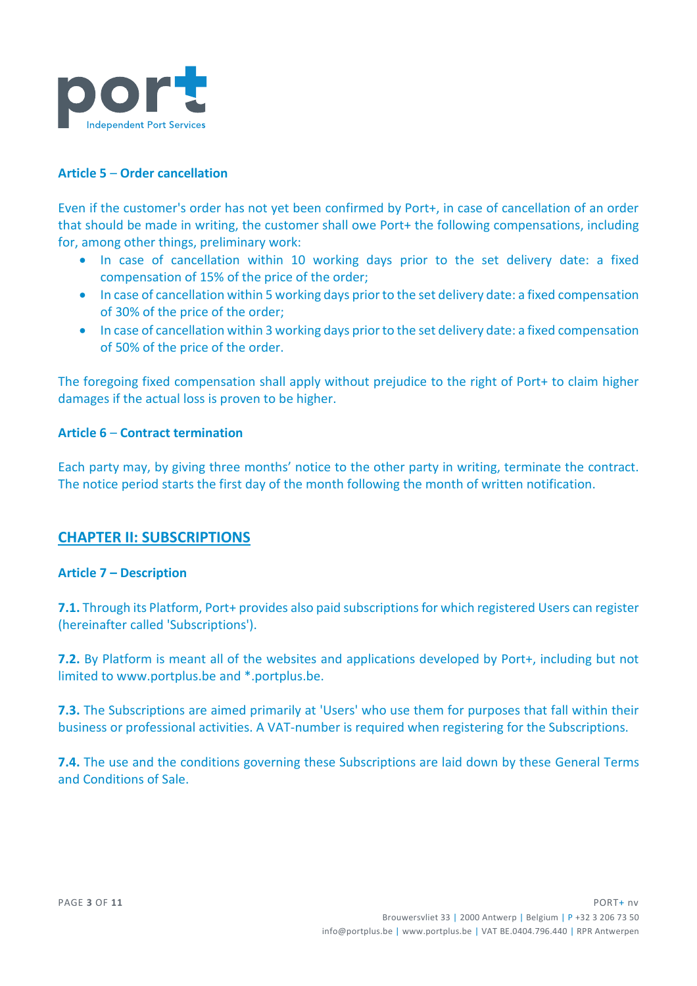

# **Article 5** – **Order cancellation**

Even if the customer's order has not yet been confirmed by Port+, in case of cancellation of an order that should be made in writing, the customer shall owe Port+ the following compensations, including for, among other things, preliminary work:

- In case of cancellation within 10 working days prior to the set delivery date: a fixed compensation of 15% of the price of the order;
- In case of cancellation within 5 working days prior to the set delivery date: a fixed compensation of 30% of the price of the order;
- In case of cancellation within 3 working days prior to the set delivery date: a fixed compensation of 50% of the price of the order.

The foregoing fixed compensation shall apply without prejudice to the right of Port+ to claim higher damages if the actual loss is proven to be higher.

### **Article 6** – **Contract termination**

Each party may, by giving three months' notice to the other party in writing, terminate the contract. The notice period starts the first day of the month following the month of written notification.

# **CHAPTER II: SUBSCRIPTIONS**

#### **Article 7 – Description**

**7.1.** Through its Platform, Port+ provides also paid subscriptions for which registered Users can register (hereinafter called 'Subscriptions').

**7.2.** By Platform is meant all of the websites and applications developed by Port+, including but not limited to www.portplus.be and \*.portplus.be.

**7.3.** The Subscriptions are aimed primarily at 'Users' who use them for purposes that fall within their business or professional activities. A VAT-number is required when registering for the Subscriptions.

**7.4.** The use and the conditions governing these Subscriptions are laid down by these General Terms and Conditions of Sale.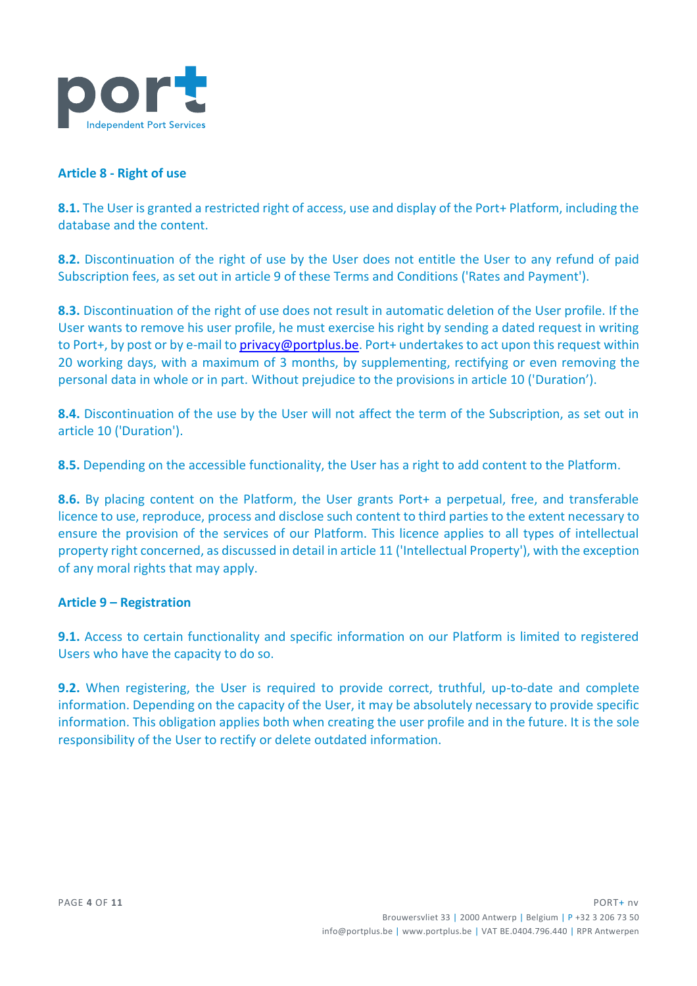

## **Article 8 - Right of use**

**8.1.** The User is granted a restricted right of access, use and display of the Port+ Platform, including the database and the content.

**8.2.** Discontinuation of the right of use by the User does not entitle the User to any refund of paid Subscription fees, as set out in article 9 of these Terms and Conditions ('Rates and Payment').

**8.3.** Discontinuation of the right of use does not result in automatic deletion of the User profile. If the User wants to remove his user profile, he must exercise his right by sending a dated request in writing to Port+, by post or by e-mail t[o privacy@portplus.be.](mailto:privacy@portplus.be) Port+ undertakes to act upon this request within 20 working days, with a maximum of 3 months, by supplementing, rectifying or even removing the personal data in whole or in part. Without prejudice to the provisions in article 10 ('Duration').

**8.4.** Discontinuation of the use by the User will not affect the term of the Subscription, as set out in article 10 ('Duration').

**8.5.** Depending on the accessible functionality, the User has a right to add content to the Platform.

**8.6.** By placing content on the Platform, the User grants Port+ a perpetual, free, and transferable licence to use, reproduce, process and disclose such content to third parties to the extent necessary to ensure the provision of the services of our Platform. This licence applies to all types of intellectual property right concerned, as discussed in detail in article 11 ('Intellectual Property'), with the exception of any moral rights that may apply.

#### **Article 9 – Registration**

**9.1.** Access to certain functionality and specific information on our Platform is limited to registered Users who have the capacity to do so.

**9.2.** When registering, the User is required to provide correct, truthful, up-to-date and complete information. Depending on the capacity of the User, it may be absolutely necessary to provide specific information. This obligation applies both when creating the user profile and in the future. It is the sole responsibility of the User to rectify or delete outdated information.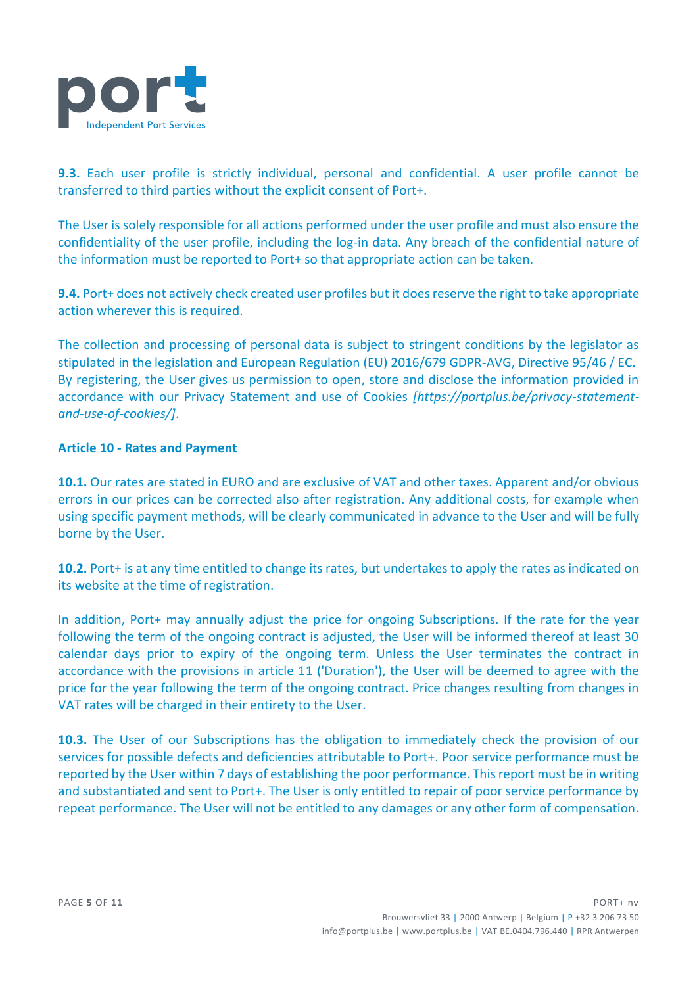

**9.3.** Each user profile is strictly individual, personal and confidential. A user profile cannot be transferred to third parties without the explicit consent of Port+.

The User is solely responsible for all actions performed under the user profile and must also ensure the confidentiality of the user profile, including the log-in data. Any breach of the confidential nature of the information must be reported to Port+ so that appropriate action can be taken.

**9.4.** Port+ does not actively check created user profiles but it does reserve the right to take appropriate action wherever this is required.

The collection and processing of personal data is subject to stringent conditions by the legislator as stipulated in the legislation and European Regulation (EU) 2016/679 GDPR-AVG, Directive 95/46 / EC. By registering, the User gives us permission to open, store and disclose the information provided in accordance with our Privacy Statement and use of Cookies *[https://portplus.be/privacy-statementand-use-of-cookies/]*.

## **Article 10 - Rates and Payment**

**10.1.** Our rates are stated in EURO and are exclusive of VAT and other taxes. Apparent and/or obvious errors in our prices can be corrected also after registration. Any additional costs, for example when using specific payment methods, will be clearly communicated in advance to the User and will be fully borne by the User.

**10.2.** Port+ is at any time entitled to change its rates, but undertakes to apply the rates as indicated on its website at the time of registration.

In addition, Port+ may annually adjust the price for ongoing Subscriptions. If the rate for the year following the term of the ongoing contract is adjusted, the User will be informed thereof at least 30 calendar days prior to expiry of the ongoing term. Unless the User terminates the contract in accordance with the provisions in article 11 ('Duration'), the User will be deemed to agree with the price for the year following the term of the ongoing contract. Price changes resulting from changes in VAT rates will be charged in their entirety to the User.

**10.3.** The User of our Subscriptions has the obligation to immediately check the provision of our services for possible defects and deficiencies attributable to Port+. Poor service performance must be reported by the User within 7 days of establishing the poor performance. This report must be in writing and substantiated and sent to Port+. The User is only entitled to repair of poor service performance by repeat performance. The User will not be entitled to any damages or any other form of compensation.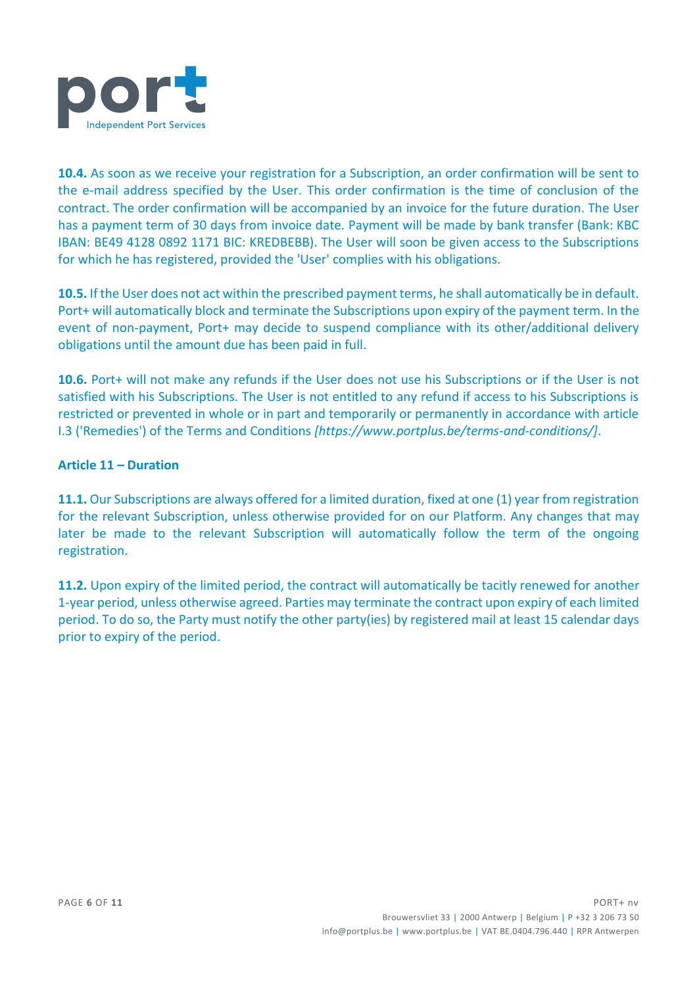

**10.4.** As soon as we receive your registration for a Subscription, an order confirmation will be sent to the e-mail address specified by the User. This order confirmation is the time of conclusion of the contract. The order confirmation will be accompanied by an invoice for the future duration. The User has a payment term of 30 days from invoice date. Payment will be made by bank transfer (Bank: KBC IBAN: BE49 4128 0892 1171 BIC: KREDBEBB). The User will soon be given access to the Subscriptions for which he has registered, provided the 'User' complies with his obligations.

**10.5.** If the User does not act within the prescribed payment terms, he shall automatically be in default. Port+ will automatically block and terminate the Subscriptions upon expiry of the payment term. In the event of non-payment, Port+ may decide to suspend compliance with its other/additional delivery obligations until the amount due has been paid in full.

**10.6.** Port+ will not make any refunds if the User does not use his Subscriptions or if the User is not satisfied with his Subscriptions. The User is not entitled to any refund if access to his Subscriptions is restricted or prevented in whole or in part and temporarily or permanently in accordance with article I.3 ('Remedies') of the Terms and Conditions *[https://www.portplus.be/terms-and-conditions/]*.

# **Article 11 – Duration**

**11.1.** Our Subscriptions are always offered for a limited duration, fixed at one (1) year from registration for the relevant Subscription, unless otherwise provided for on our Platform. Any changes that may later be made to the relevant Subscription will automatically follow the term of the ongoing registration.

**11.2.** Upon expiry of the limited period, the contract will automatically be tacitly renewed for another 1-year period, unless otherwise agreed. Parties may terminate the contract upon expiry of each limited period. To do so, the Party must notify the other party(ies) by registered mail at least 15 calendar days prior to expiry of the period.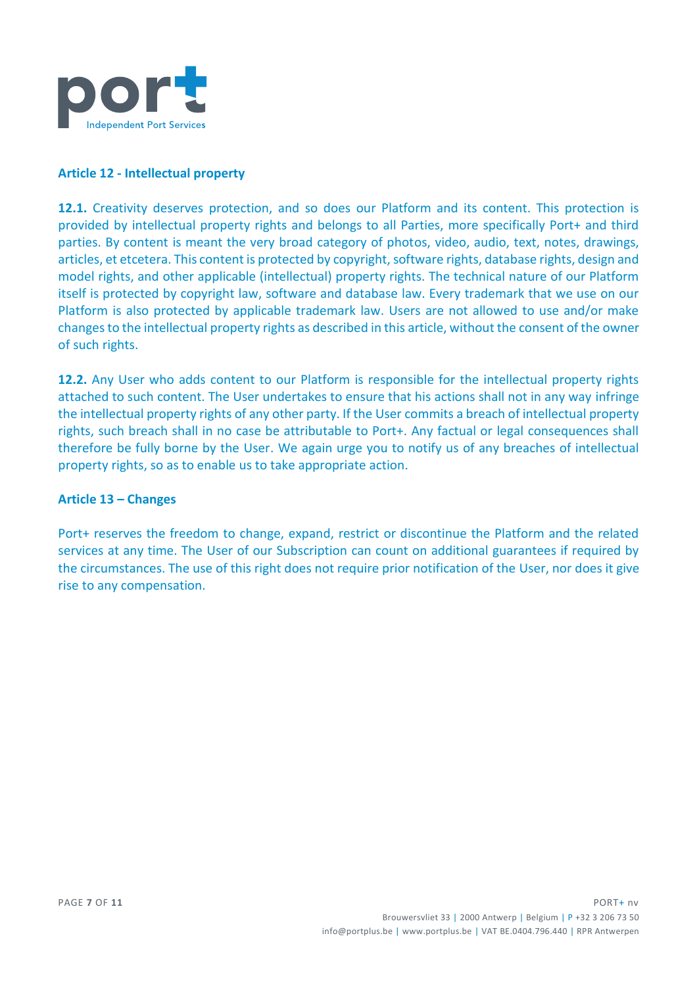

## **Article 12 - Intellectual property**

**12.1.** Creativity deserves protection, and so does our Platform and its content. This protection is provided by intellectual property rights and belongs to all Parties, more specifically Port+ and third parties. By content is meant the very broad category of photos, video, audio, text, notes, drawings, articles, et etcetera. This content is protected by copyright, software rights, database rights, design and model rights, and other applicable (intellectual) property rights. The technical nature of our Platform itself is protected by copyright law, software and database law. Every trademark that we use on our Platform is also protected by applicable trademark law. Users are not allowed to use and/or make changes to the intellectual property rights as described in this article, without the consent of the owner of such rights.

**12.2.** Any User who adds content to our Platform is responsible for the intellectual property rights attached to such content. The User undertakes to ensure that his actions shall not in any way infringe the intellectual property rights of any other party. If the User commits a breach of intellectual property rights, such breach shall in no case be attributable to Port+. Any factual or legal consequences shall therefore be fully borne by the User. We again urge you to notify us of any breaches of intellectual property rights, so as to enable us to take appropriate action.

#### **Article 13 – Changes**

Port+ reserves the freedom to change, expand, restrict or discontinue the Platform and the related services at any time. The User of our Subscription can count on additional guarantees if required by the circumstances. The use of this right does not require prior notification of the User, nor does it give rise to any compensation.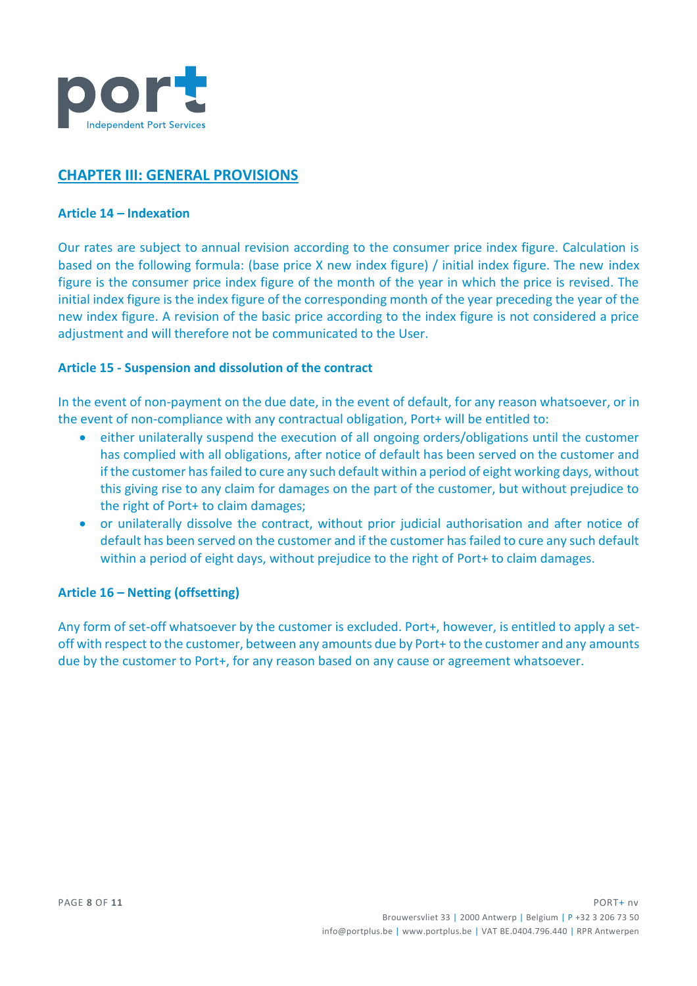

# **CHAPTER III: GENERAL PROVISIONS**

#### **Article 14 – Indexation**

Our rates are subject to annual revision according to the consumer price index figure. Calculation is based on the following formula: (base price X new index figure) / initial index figure. The new index figure is the consumer price index figure of the month of the year in which the price is revised. The initial index figure is the index figure of the corresponding month of the year preceding the year of the new index figure. A revision of the basic price according to the index figure is not considered a price adjustment and will therefore not be communicated to the User.

## **Article 15 - Suspension and dissolution of the contract**

In the event of non-payment on the due date, in the event of default, for any reason whatsoever, or in the event of non-compliance with any contractual obligation, Port+ will be entitled to:

- either unilaterally suspend the execution of all ongoing orders/obligations until the customer has complied with all obligations, after notice of default has been served on the customer and if the customer has failed to cure any such default within a period of eight working days, without this giving rise to any claim for damages on the part of the customer, but without prejudice to the right of Port+ to claim damages;
- or unilaterally dissolve the contract, without prior judicial authorisation and after notice of default has been served on the customer and if the customer has failed to cure any such default within a period of eight days, without prejudice to the right of Port+ to claim damages.

## **Article 16 – Netting (offsetting)**

Any form of set-off whatsoever by the customer is excluded. Port+, however, is entitled to apply a setoff with respect to the customer, between any amounts due by Port+ to the customer and any amounts due by the customer to Port+, for any reason based on any cause or agreement whatsoever.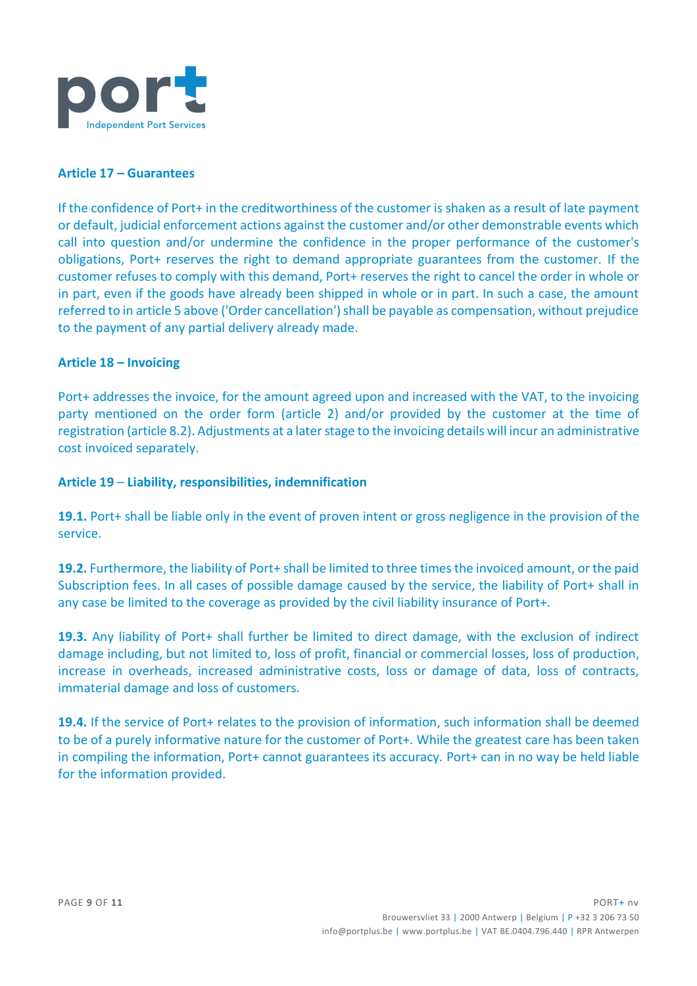

## **Article 17 – Guarantees**

If the confidence of Port+ in the creditworthiness of the customer is shaken as a result of late payment or default, judicial enforcement actions against the customer and/or other demonstrable events which call into question and/or undermine the confidence in the proper performance of the customer's obligations, Port+ reserves the right to demand appropriate guarantees from the customer. If the customer refuses to comply with this demand, Port+ reserves the right to cancel the order in whole or in part, even if the goods have already been shipped in whole or in part. In such a case, the amount referred to in article 5 above ('Order cancellation') shall be payable as compensation, without prejudice to the payment of any partial delivery already made.

### **Article 18 – Invoicing**

Port+ addresses the invoice, for the amount agreed upon and increased with the VAT, to the invoicing party mentioned on the order form (article 2) and/or provided by the customer at the time of registration (article 8.2). Adjustments at a later stage to the invoicing details will incur an administrative cost invoiced separately.

### **Article 19** – **Liability, responsibilities, indemnification**

**19.1.** Port+ shall be liable only in the event of proven intent or gross negligence in the provision of the service.

**19.2.** Furthermore, the liability of Port+ shall be limited to three times the invoiced amount, or the paid Subscription fees. In all cases of possible damage caused by the service, the liability of Port+ shall in any case be limited to the coverage as provided by the civil liability insurance of Port+.

**19.3.** Any liability of Port+ shall further be limited to direct damage, with the exclusion of indirect damage including, but not limited to, loss of profit, financial or commercial losses, loss of production, increase in overheads, increased administrative costs, loss or damage of data, loss of contracts, immaterial damage and loss of customers.

**19.4.** If the service of Port+ relates to the provision of information, such information shall be deemed to be of a purely informative nature for the customer of Port+. While the greatest care has been taken in compiling the information, Port+ cannot guarantees its accuracy. Port+ can in no way be held liable for the information provided.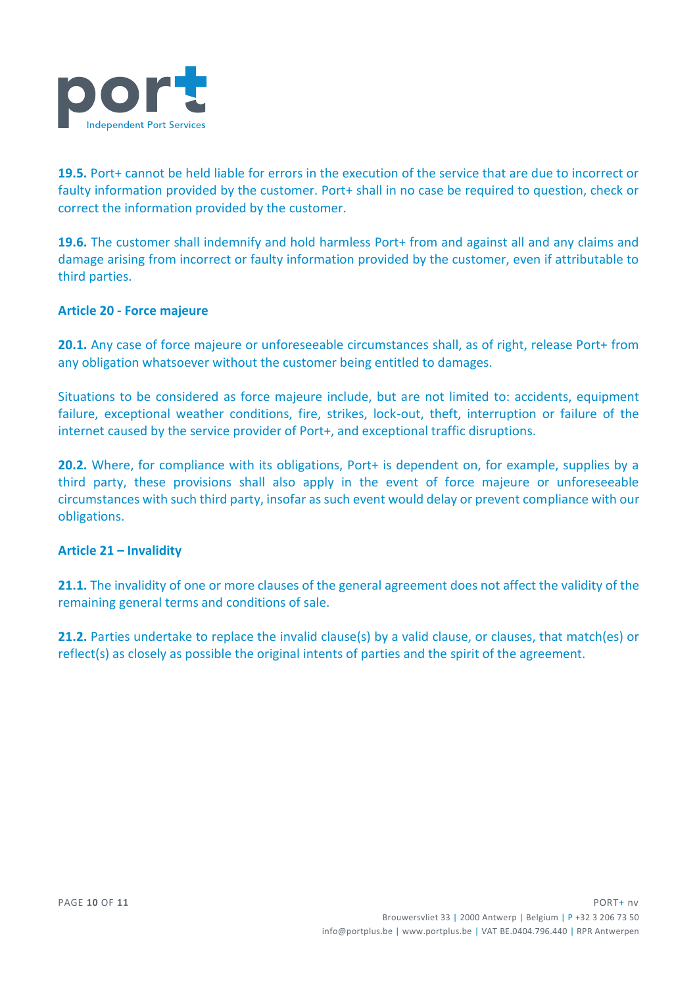

**19.5.** Port+ cannot be held liable for errors in the execution of the service that are due to incorrect or faulty information provided by the customer. Port+ shall in no case be required to question, check or correct the information provided by the customer.

**19.6.** The customer shall indemnify and hold harmless Port+ from and against all and any claims and damage arising from incorrect or faulty information provided by the customer, even if attributable to third parties.

# **Article 20 - Force majeure**

**20.1.** Any case of force majeure or unforeseeable circumstances shall, as of right, release Port+ from any obligation whatsoever without the customer being entitled to damages.

Situations to be considered as force majeure include, but are not limited to: accidents, equipment failure, exceptional weather conditions, fire, strikes, lock-out, theft, interruption or failure of the internet caused by the service provider of Port+, and exceptional traffic disruptions.

**20.2.** Where, for compliance with its obligations, Port+ is dependent on, for example, supplies by a third party, these provisions shall also apply in the event of force majeure or unforeseeable circumstances with such third party, insofar as such event would delay or prevent compliance with our obligations.

## **Article 21 – Invalidity**

**21.1.** The invalidity of one or more clauses of the general agreement does not affect the validity of the remaining general terms and conditions of sale.

**21.2.** Parties undertake to replace the invalid clause(s) by a valid clause, or clauses, that match(es) or reflect(s) as closely as possible the original intents of parties and the spirit of the agreement.